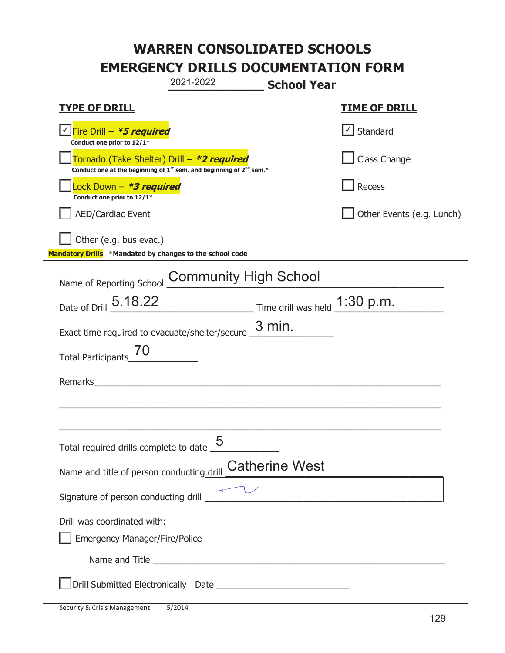|                                                                                                                                           | 2021-2022                                                                                                                                                                                                                            | <b>School Year</b>                                                              |                                                     |
|-------------------------------------------------------------------------------------------------------------------------------------------|--------------------------------------------------------------------------------------------------------------------------------------------------------------------------------------------------------------------------------------|---------------------------------------------------------------------------------|-----------------------------------------------------|
| <u>TYPE OF DRILL</u>                                                                                                                      |                                                                                                                                                                                                                                      |                                                                                 | <b>TIME OF DRILL</b>                                |
| Fire Drill - *5 required<br>Conduct one prior to 12/1*                                                                                    |                                                                                                                                                                                                                                      |                                                                                 | $\cup$ Standard                                     |
| Tornado (Take Shelter) Drill – *2 required<br>Conduct one at the beginning of 1 <sup>st</sup> sem. and beginning of 2 <sup>nd</sup> sem.* |                                                                                                                                                                                                                                      |                                                                                 | Class Change                                        |
| Lock Down - *3 required<br>Conduct one prior to 12/1*                                                                                     |                                                                                                                                                                                                                                      |                                                                                 | Recess                                              |
| <b>AED/Cardiac Event</b>                                                                                                                  |                                                                                                                                                                                                                                      |                                                                                 | Other Events (e.g. Lunch)                           |
| Other (e.g. bus evac.)<br>Mandatory Drills *Mandated by changes to the school code                                                        |                                                                                                                                                                                                                                      |                                                                                 |                                                     |
| Name of Reporting School                                                                                                                  | <b>Community High School</b>                                                                                                                                                                                                         |                                                                                 |                                                     |
| Date of Drill 5.18.22                                                                                                                     |                                                                                                                                                                                                                                      | $\frac{1:30 \text{ p.m.}}{2}$ Time drill was held $\frac{1:30 \text{ p.m.}}{2}$ |                                                     |
| Exact time required to evacuate/shelter/secure $\frac{3 \text{ min}}{4}$ .                                                                |                                                                                                                                                                                                                                      |                                                                                 |                                                     |
| <b>Total Participants</b>                                                                                                                 |                                                                                                                                                                                                                                      |                                                                                 |                                                     |
| Remarks                                                                                                                                   |                                                                                                                                                                                                                                      |                                                                                 |                                                     |
|                                                                                                                                           |                                                                                                                                                                                                                                      |                                                                                 |                                                     |
| Total required drills complete to date $\frac{0}{1}$                                                                                      | 5                                                                                                                                                                                                                                    |                                                                                 |                                                     |
| Name and title of person conducting drill                                                                                                 |                                                                                                                                                                                                                                      | <b>Catherine West</b>                                                           |                                                     |
| Signature of person conducting drill                                                                                                      |                                                                                                                                                                                                                                      |                                                                                 | <u> 1989 - Johann Barbara, martxa alemaniar arg</u> |
| Drill was coordinated with:<br><b>Emergency Manager/Fire/Police</b>                                                                       |                                                                                                                                                                                                                                      |                                                                                 |                                                     |
|                                                                                                                                           | Name and Title <b>contract to the contract of the contract of the contract of the contract of the contract of the contract of the contract of the contract of the contract of the contract of the contract of the contract of th</b> |                                                                                 |                                                     |
|                                                                                                                                           |                                                                                                                                                                                                                                      |                                                                                 |                                                     |

t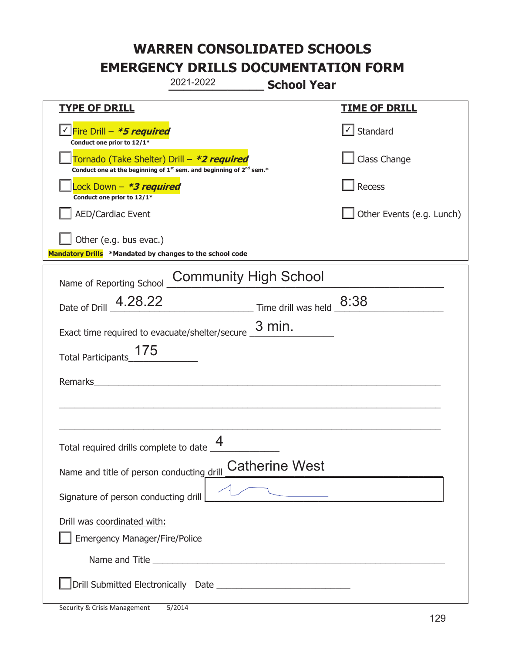|                                                                                                                                           | 2021-2022                    | <b>School Year</b>                                                        |                           |
|-------------------------------------------------------------------------------------------------------------------------------------------|------------------------------|---------------------------------------------------------------------------|---------------------------|
| <b>TYPE OF DRILL</b>                                                                                                                      |                              |                                                                           | <u>TIME OF DRILL</u>      |
| <u>√ Fire Drill – <i>*5 required</i></u><br>Conduct one prior to 12/1*                                                                    |                              |                                                                           | √ Standard                |
| Tornado (Take Shelter) Drill – *2 required<br>Conduct one at the beginning of 1 <sup>st</sup> sem. and beginning of 2 <sup>nd</sup> sem.* |                              |                                                                           | Class Change              |
| Lock Down - <b>*3 required</b><br>Conduct one prior to 12/1*                                                                              |                              |                                                                           | Recess                    |
| AED/Cardiac Event                                                                                                                         |                              |                                                                           | Other Events (e.g. Lunch) |
| $\vert$ Other (e.g. bus evac.)<br>Mandatory Drills *Mandated by changes to the school code                                                |                              |                                                                           |                           |
| Name of Reporting School                                                                                                                  | <b>Community High School</b> |                                                                           |                           |
| Date of Drill $\_$ 4.28.22                                                                                                                |                              | $\frac{8:38}{\frac{1}{2}}$ Time drill was held $\frac{8:38}{\frac{1}{2}}$ |                           |
| Exact time required to evacuate/shelter/secure $\frac{3 \text{ min}}{4}$ .                                                                |                              |                                                                           |                           |
| 175<br>Total Participants                                                                                                                 |                              |                                                                           |                           |
| Remarks                                                                                                                                   |                              |                                                                           |                           |
|                                                                                                                                           |                              |                                                                           |                           |
| Total required drills complete to date $\frac{4}{1}$                                                                                      |                              |                                                                           |                           |
| Name and title of person conducting drill                                                                                                 |                              | <b>Catherine West</b>                                                     |                           |
| Signature of person conducting drill                                                                                                      |                              |                                                                           |                           |
| Drill was coordinated with:                                                                                                               |                              |                                                                           |                           |
| Emergency Manager/Fire/Police                                                                                                             |                              |                                                                           |                           |
|                                                                                                                                           |                              |                                                                           |                           |
|                                                                                                                                           |                              |                                                                           |                           |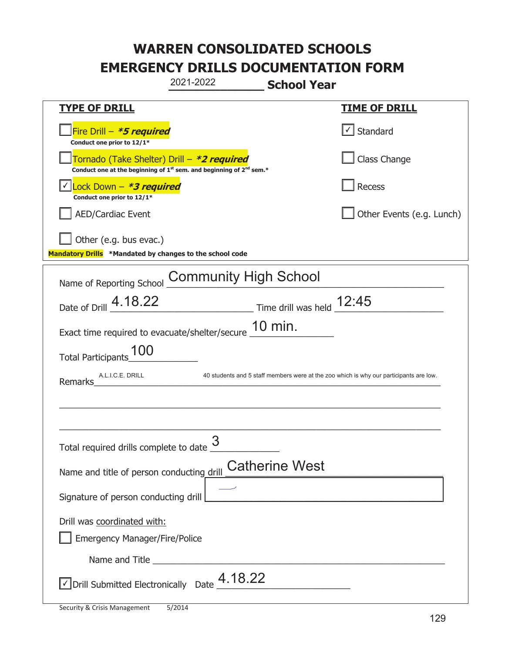|                                                                                    | 2021-2022                                                                                   | <b>School Year</b>                                |                                                                                        |
|------------------------------------------------------------------------------------|---------------------------------------------------------------------------------------------|---------------------------------------------------|----------------------------------------------------------------------------------------|
| <b>TYPE OF DRILL</b>                                                               |                                                                                             |                                                   | <u>TIME OF DRILL</u>                                                                   |
| Fire Drill - *5 required<br>Conduct one prior to 12/1*                             |                                                                                             |                                                   | √ Standard                                                                             |
| Tornado (Take Shelter) Drill – *2 required                                         | Conduct one at the beginning of 1 <sup>st</sup> sem. and beginning of 2 <sup>nd</sup> sem.* |                                                   | Class Change                                                                           |
| Lock Down - *3 required<br>Conduct one prior to 12/1*                              |                                                                                             |                                                   | Recess                                                                                 |
| <b>AED/Cardiac Event</b>                                                           |                                                                                             |                                                   | Other Events (e.g. Lunch)                                                              |
| Other (e.g. bus evac.)<br>Mandatory Drills *Mandated by changes to the school code |                                                                                             |                                                   |                                                                                        |
| Name of Reporting School                                                           | <b>Community High School</b>                                                                |                                                   |                                                                                        |
| Date of Drill _4.18.22                                                             | $\frac{12:45}{1}$ Time drill was held $\frac{12:45}{1}$                                     |                                                   |                                                                                        |
| Exact time required to evacuate/shelter/secure 10 min.                             |                                                                                             |                                                   |                                                                                        |
| <b>Total Participants</b>                                                          |                                                                                             |                                                   |                                                                                        |
| A.L.I.C.E. DRILL<br>Remarks                                                        |                                                                                             |                                                   | 40 students and 5 staff members were at the zoo which is why our participants are low. |
|                                                                                    |                                                                                             |                                                   |                                                                                        |
|                                                                                    |                                                                                             |                                                   |                                                                                        |
| Total required drills complete to date $\frac{3}{5}$                               |                                                                                             |                                                   |                                                                                        |
| Name and title of person conducting drill                                          |                                                                                             | <b>Catherine West</b>                             |                                                                                        |
| Signature of person conducting drill                                               |                                                                                             | <u> 1989 - Johann Barbara, martxa alemaniar a</u> |                                                                                        |
| Drill was coordinated with:<br><b>Emergency Manager/Fire/Police</b>                |                                                                                             |                                                   |                                                                                        |
|                                                                                    |                                                                                             |                                                   |                                                                                        |
| $\vee$ Drill Submitted Electronically Date $\frac{4.18.22}{\cdots}$                |                                                                                             |                                                   |                                                                                        |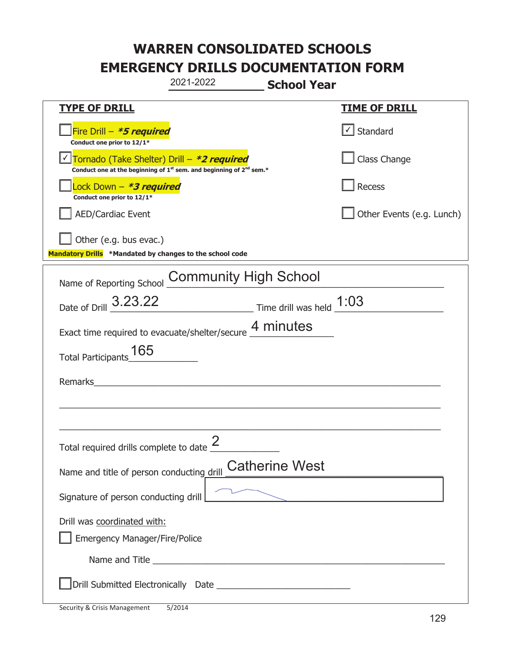|                                                                                    | 2021-2022                                                               | <b>School Year</b>          |
|------------------------------------------------------------------------------------|-------------------------------------------------------------------------|-----------------------------|
| <b>TYPE OF DRILL</b>                                                               |                                                                         | <b>TIME OF DRILL</b>        |
| Fire Drill - *5 required<br>Conduct one prior to 12/1*                             |                                                                         | $\cup$ Standard             |
| Tornado (Take Shelter) Drill – *2 required                                         | Conduct one at the beginning of $1st$ sem. and beginning of $2nd$ sem.* | Class Change                |
| Lock Down - <b>*3 required</b><br>Conduct one prior to 12/1*                       |                                                                         | <b>Recess</b>               |
| AED/Cardiac Event                                                                  |                                                                         | Other Events (e.g. Lunch)   |
| Other (e.g. bus evac.)<br>Mandatory Drills *Mandated by changes to the school code |                                                                         |                             |
| Name of Reporting School                                                           | <b>Community High School</b>                                            |                             |
| Date of Drill 3.23.22                                                              | $\frac{1:03}{1:03}$ Time drill was held $\frac{1:03}{1:03}$             |                             |
|                                                                                    | Exact time required to evacuate/shelter/secure 4 minutes                |                             |
| 165<br><b>Total Participants</b>                                                   |                                                                         |                             |
| Remarks                                                                            |                                                                         |                             |
|                                                                                    |                                                                         |                             |
| Total required drills complete to date $\frac{2}{3}$                               |                                                                         |                             |
| Name and title of person conducting drill                                          | <b>Catherine West</b>                                                   |                             |
| Signature of person conducting drill                                               |                                                                         | $\sum_{i=1}^n \frac{1}{i!}$ |
| Drill was coordinated with:<br><b>Emergency Manager/Fire/Police</b>                |                                                                         |                             |
|                                                                                    | Name and Title <b>Example 2018</b> Name and Title <b>1999</b>           |                             |
|                                                                                    |                                                                         |                             |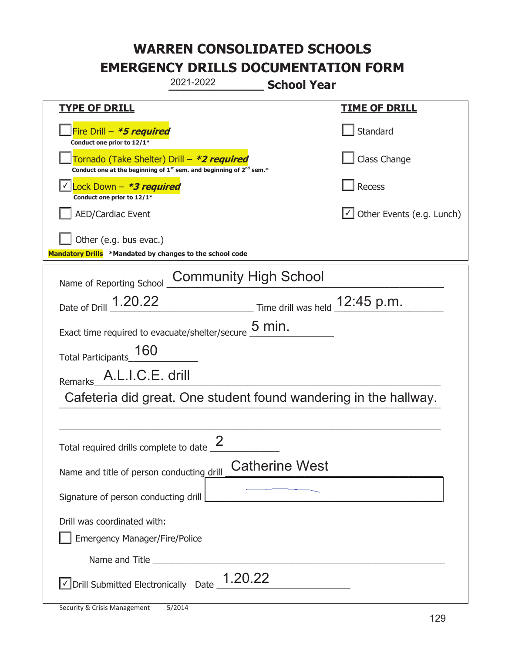| 2021-2022<br><b>School Year</b>                                                                                             |                                                                                   |  |
|-----------------------------------------------------------------------------------------------------------------------------|-----------------------------------------------------------------------------------|--|
| <b>TYPE OF DRILL</b>                                                                                                        | <u>TIME OF DRILL</u>                                                              |  |
| Fire Drill - *5 required<br>Conduct one prior to 12/1*                                                                      | Standard                                                                          |  |
| Tornado (Take Shelter) Drill – *2 required<br>Conduct one at the beginning of $1^{st}$ sem. and beginning of $2^{nd}$ sem.* | Class Change                                                                      |  |
| Lock Down - <b>*3 required</b><br>Conduct one prior to 12/1*                                                                | Recess                                                                            |  |
| <b>AED/Cardiac Event</b>                                                                                                    | $\cup$ Other Events (e.g. Lunch)                                                  |  |
| Other (e.g. bus evac.)<br>Mandatory Drills *Mandated by changes to the school code                                          |                                                                                   |  |
| <b>Community High School</b><br>Name of Reporting School                                                                    |                                                                                   |  |
| Date of Drill 1.20.22                                                                                                       | $\frac{12:45 \text{ p.m.}}{4}$ Time drill was held $\frac{12:45 \text{ p.m.}}{4}$ |  |
| Exact time required to evacuate/shelter/secure $\underline{5}$ min.                                                         |                                                                                   |  |
| Total Participants_160                                                                                                      |                                                                                   |  |
| A.L.I.C.E. drill<br><b>Remarks</b>                                                                                          |                                                                                   |  |
| Cafeteria did great. One student found wandering in the hallway.                                                            |                                                                                   |  |
|                                                                                                                             |                                                                                   |  |
| Total required drills complete to date $\frac{2}{\sqrt{2}}$                                                                 |                                                                                   |  |
| Name and title of person conducting drill                                                                                   | <b>Catherine West</b>                                                             |  |
| Signature of person conducting drill                                                                                        |                                                                                   |  |
| Drill was coordinated with:<br><b>Emergency Manager/Fire/Police</b>                                                         |                                                                                   |  |
|                                                                                                                             |                                                                                   |  |
| $\vee$ Drill Submitted Electronically Date $\frac{1.20.22}{\cdots}$                                                         |                                                                                   |  |

t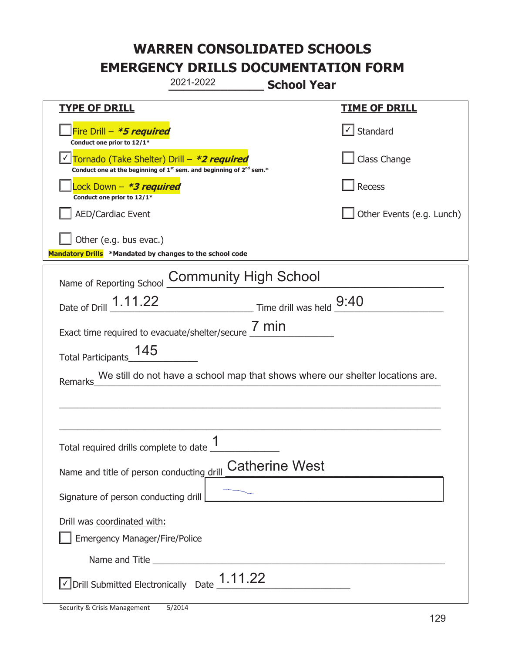| 2021-2022<br><b>School Year</b>                                                                                                           |                                       |  |  |
|-------------------------------------------------------------------------------------------------------------------------------------------|---------------------------------------|--|--|
| <b>TYPE OF DRILL</b>                                                                                                                      | <b>TIME OF DRILL</b>                  |  |  |
| Fire Drill - *5 required<br>Conduct one prior to 12/1*                                                                                    | $\lfloor \checkmark \rfloor$ Standard |  |  |
| Tornado (Take Shelter) Drill – *2 required<br>Conduct one at the beginning of 1 <sup>st</sup> sem. and beginning of 2 <sup>nd</sup> sem.* | Class Change                          |  |  |
| Lock Down - *3 required<br>Conduct one prior to 12/1*                                                                                     | Recess                                |  |  |
| <b>AED/Cardiac Event</b>                                                                                                                  | Other Events (e.g. Lunch)             |  |  |
| Other (e.g. bus evac.)<br>Mandatory Drills *Mandated by changes to the school code                                                        |                                       |  |  |
| <b>Community High School</b><br>Name of Reporting School                                                                                  |                                       |  |  |
| Time drill was held 9:40<br>Date of Drill 1.11.22                                                                                         |                                       |  |  |
| Exact time required to evacuate/shelter/secure $\frac{7 \text{ min}}{4}$                                                                  |                                       |  |  |
| 145<br>Total Participants                                                                                                                 |                                       |  |  |
| We still do not have a school map that shows where our shelter locations are.<br>Remarks                                                  |                                       |  |  |
|                                                                                                                                           |                                       |  |  |
|                                                                                                                                           |                                       |  |  |
| 1<br>Total required drills complete to date _                                                                                             |                                       |  |  |
| <b>Catherine West</b><br>Name and title of person conducting drill                                                                        |                                       |  |  |
| Signature of person conducting drill                                                                                                      |                                       |  |  |
| Drill was coordinated with:<br><b>Emergency Manager/Fire/Police</b>                                                                       |                                       |  |  |
|                                                                                                                                           |                                       |  |  |
| $\vee$ Drill Submitted Electronically Date $\underline{1.11.22}$                                                                          |                                       |  |  |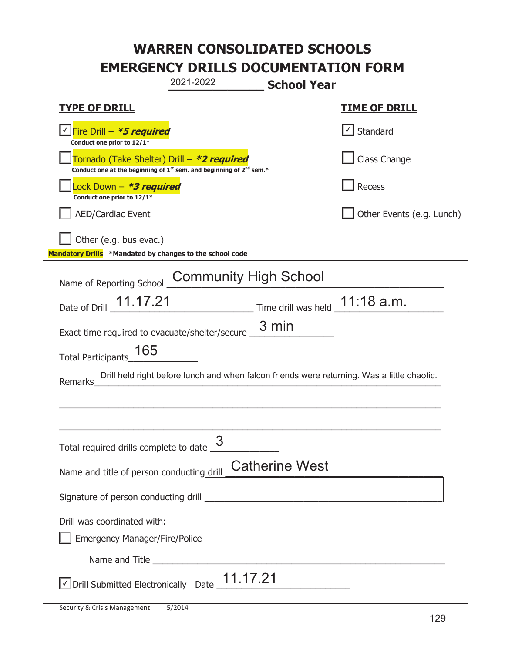| 2021-2022<br><b>School Year</b>                                                                                                           |                           |
|-------------------------------------------------------------------------------------------------------------------------------------------|---------------------------|
| <b>TYPE OF DRILL</b>                                                                                                                      | <b>TIME OF DRILL</b>      |
| <u>√ Fire Drill – <i>*5 required</i></u><br>Conduct one prior to 12/1*                                                                    | √ Standard                |
| Tornado (Take Shelter) Drill – *2 required<br>Conduct one at the beginning of 1 <sup>st</sup> sem. and beginning of 2 <sup>nd</sup> sem.* | Class Change              |
| ock Down – <b>*3 required</b><br>Conduct one prior to 12/1*                                                                               | Recess                    |
| <b>AED/Cardiac Event</b>                                                                                                                  | Other Events (e.g. Lunch) |
| Other (e.g. bus evac.)<br>Mandatory Drills *Mandated by changes to the school code                                                        |                           |
| <b>Community High School</b><br>Name of Reporting School                                                                                  |                           |
| $\frac{11:18 \text{ a.m.}}{2}$ Time drill was held $\frac{11:18 \text{ a.m.}}{2}$<br>Date of Drill 11.17.21                               |                           |
| 3 min<br>Exact time required to evacuate/shelter/secure _                                                                                 |                           |
| 165<br>Total Participants                                                                                                                 |                           |
| Drill held right before lunch and when falcon friends were returning. Was a little chaotic.<br>Remarks                                    |                           |
|                                                                                                                                           |                           |
|                                                                                                                                           |                           |
| Total required drills complete to date $\frac{3}{5}$                                                                                      |                           |
| <b>Catherine West</b><br>Name and title of person conducting drill                                                                        |                           |
| Signature of person conducting drill                                                                                                      |                           |
| Drill was coordinated with:<br><b>Emergency Manager/Fire/Police</b>                                                                       |                           |
|                                                                                                                                           |                           |
| $\vee$ Drill Submitted Electronically Date $\frac{11.17.21}{2}$                                                                           |                           |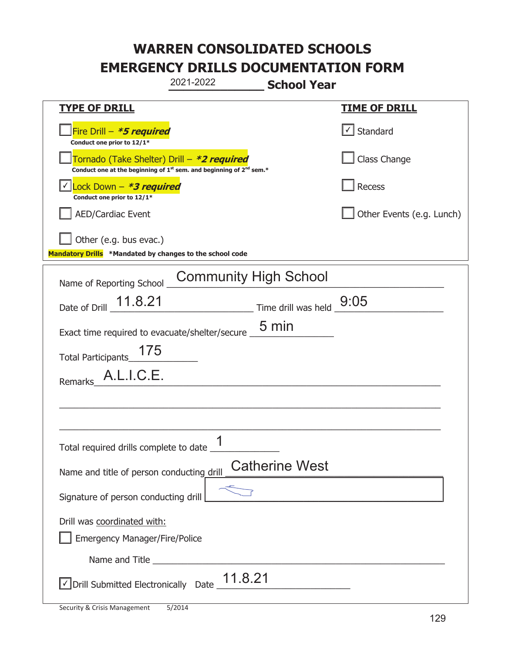|                                                                                                                                           | 2021-2022 | <b>School Year</b>                                                        |                           |
|-------------------------------------------------------------------------------------------------------------------------------------------|-----------|---------------------------------------------------------------------------|---------------------------|
| <u>TYPE OF DRILL</u>                                                                                                                      |           |                                                                           | <u>TIME OF DRILL</u>      |
| Fire Drill - *5 required<br>Conduct one prior to 12/1*                                                                                    |           |                                                                           | $\cup$ Standard           |
| Tornado (Take Shelter) Drill – *2 required<br>Conduct one at the beginning of 1 <sup>st</sup> sem. and beginning of 2 <sup>nd</sup> sem.* |           |                                                                           | Class Change              |
| Lock Down - *3 required<br>Conduct one prior to 12/1*                                                                                     |           |                                                                           | Recess                    |
| AED/Cardiac Event                                                                                                                         |           |                                                                           | Other Events (e.g. Lunch) |
| Other (e.g. bus evac.)<br>Mandatory Drills *Mandated by changes to the school code                                                        |           |                                                                           |                           |
| Name of Reporting School                                                                                                                  |           | <b>Community High School</b>                                              |                           |
| Date of Drill _ 11.8.21                                                                                                                   |           | $\frac{9:05}{\frac{1}{2}}$ Time drill was held $\frac{9:05}{\frac{1}{2}}$ |                           |
| Exact time required to evacuate/shelter/secure _                                                                                          |           | 5 min                                                                     |                           |
| 175<br><b>Total Participants</b>                                                                                                          |           |                                                                           |                           |
| A.L.I.C.E.<br>Remarks                                                                                                                     |           |                                                                           |                           |
|                                                                                                                                           |           |                                                                           |                           |
|                                                                                                                                           |           |                                                                           |                           |
| Total required drills complete to date $\frac{1}{\sqrt{2}}$                                                                               |           |                                                                           |                           |
| Name and title of person conducting drill                                                                                                 |           | <b>Catherine West</b>                                                     |                           |
| Signature of person conducting drill                                                                                                      |           |                                                                           |                           |
| Drill was coordinated with:<br><b>Emergency Manager/Fire/Police</b>                                                                       |           |                                                                           |                           |
|                                                                                                                                           |           |                                                                           |                           |
| $\vee$ Drill Submitted Electronically Date $\frac{11.8.21}{\sqrt{11}}$                                                                    |           |                                                                           |                           |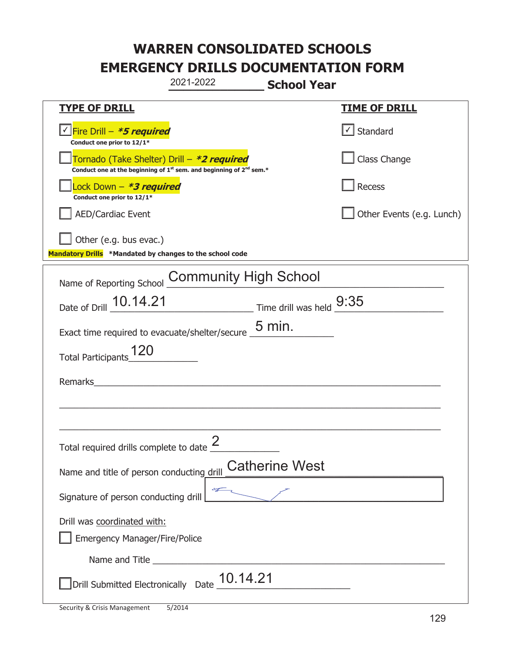|                                                                                    | 2021-2022                                                               | <b>School Year</b>    |                           |
|------------------------------------------------------------------------------------|-------------------------------------------------------------------------|-----------------------|---------------------------|
| <u>TYPE OF DRILL</u>                                                               |                                                                         |                       | <b>TIME OF DRILL</b>      |
| √ Fire Drill – <b>*5 required</b><br>Conduct one prior to 12/1*                    |                                                                         |                       | $\cup$ Standard           |
| Tornado (Take Shelter) Drill – *2 required                                         | Conduct one at the beginning of $1st$ sem. and beginning of $2nd$ sem.* |                       | Class Change              |
| Lock Down - *3 required<br>Conduct one prior to 12/1*                              |                                                                         |                       | Recess                    |
| AED/Cardiac Event                                                                  |                                                                         |                       | Other Events (e.g. Lunch) |
| Other (e.g. bus evac.)<br>Mandatory Drills *Mandated by changes to the school code |                                                                         |                       |                           |
| Name of Reporting School                                                           | <b>Community High School</b>                                            |                       |                           |
| Date of Drill 10.14.21 Time drill was held 9:35                                    |                                                                         |                       |                           |
| Exact time required to evacuate/shelter/secure $\underline{\hspace{1em}5}$ min.    |                                                                         |                       |                           |
| 120<br><b>Total Participants</b>                                                   |                                                                         |                       |                           |
| Remarks                                                                            |                                                                         |                       |                           |
|                                                                                    |                                                                         |                       |                           |
| Total required drills complete to date $\frac{2}{3}$                               |                                                                         |                       |                           |
| Name and title of person conducting drill                                          |                                                                         | <b>Catherine West</b> |                           |
| Signature of person conducting drill                                               |                                                                         |                       |                           |
| Drill was coordinated with:<br><b>Emergency Manager/Fire/Police</b>                |                                                                         |                       |                           |
|                                                                                    |                                                                         |                       |                           |
| Drill Submitted Electronically $\,$ Date $\underline{\,}10.14.21$                  |                                                                         |                       |                           |